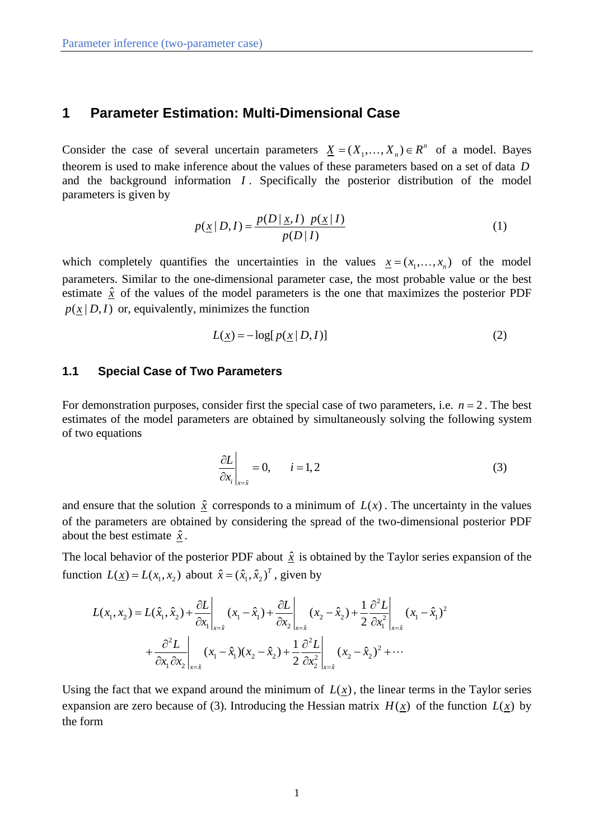# **1 Parameter Estimation: Multi-Dimensional Case**

Consider the case of several uncertain parameters  $\underline{X} = (X_1, \ldots, X_n) \in \mathbb{R}^n$  of a model. Bayes theorem is used to make inference about the values of these parameters based on a set of data *D* and the background information *I* . Specifically the posterior distribution of the model parameters is given by

$$
p(\underline{x} | D, I) = \frac{p(D | \underline{x}, I) \ p(\underline{x} | I)}{p(D | I)}
$$
(1)

which completely quantifies the uncertainties in the values  $x = (x_1, \dots, x_n)$  of the model parameters. Similar to the one-dimensional parameter case, the most probable value or the best estimate  $\hat{x}$  of the values of the model parameters is the one that maximizes the posterior PDF  $p(x | D, I)$  or, equivalently, minimizes the function

$$
L(\underline{x}) = -\log[p(\underline{x} | D, I)] \tag{2}
$$

## **1.1 Special Case of Two Parameters**

For demonstration purposes, consider first the special case of two parameters, i.e.  $n = 2$ . The best estimates of the model parameters are obtained by simultaneously solving the following system of two equations

$$
\left. \frac{\partial L}{\partial x_i} \right|_{x=\hat{x}} = 0, \qquad i = 1, 2 \tag{3}
$$

and ensure that the solution  $\hat{x}$  corresponds to a minimum of  $L(x)$ . The uncertainty in the values of the parameters are obtained by considering the spread of the two-dimensional posterior PDF about the best estimate  $\hat{x}$ .

The local behavior of the posterior PDF about  $\hat{x}$  is obtained by the Taylor series expansion of the function  $L(\underline{x}) = L(x_1, x_2)$  about  $\hat{x} = (\hat{x}_1, \hat{x}_2)^T$ , given by

$$
L(x_1, x_2) = L(\hat{x}_1, \hat{x}_2) + \frac{\partial L}{\partial x_1}\bigg|_{x=\hat{x}} (x_1 - \hat{x}_1) + \frac{\partial L}{\partial x_2}\bigg|_{x=\hat{x}} (x_2 - \hat{x}_2) + \frac{1}{2} \frac{\partial^2 L}{\partial x_1^2}\bigg|_{x=\hat{x}} (x_1 - \hat{x}_1)^2
$$
  
+  $\frac{\partial^2 L}{\partial x_1 \partial x_2}\bigg|_{x=\hat{x}} (x_1 - \hat{x}_1)(x_2 - \hat{x}_2) + \frac{1}{2} \frac{\partial^2 L}{\partial x_2^2}\bigg|_{x=\hat{x}} (x_2 - \hat{x}_2)^2 + \cdots$ 

Using the fact that we expand around the minimum of  $L(x)$ , the linear terms in the Taylor series expansion are zero because of (3). Introducing the Hessian matrix  $H(x)$  of the function  $L(x)$  by the form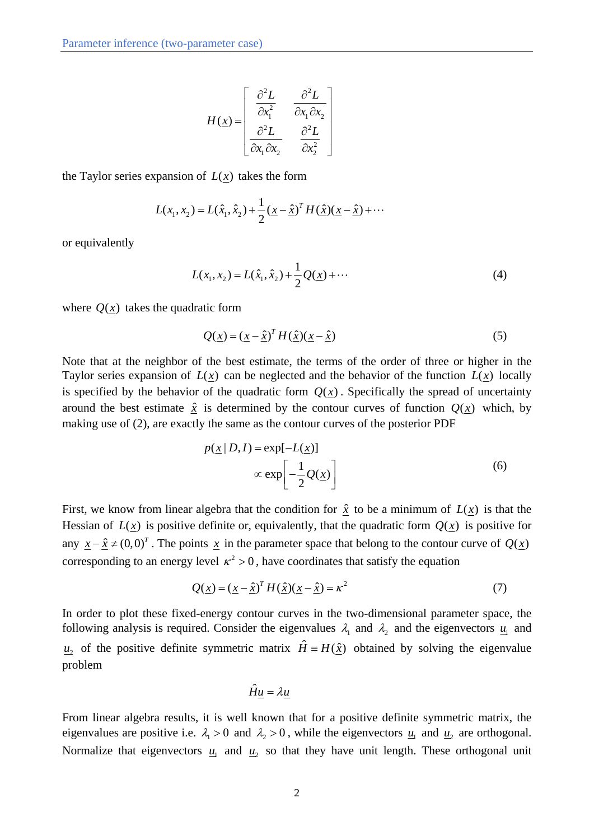$$
H(\underline{x}) = \begin{bmatrix} \frac{\partial^2 L}{\partial x_1^2} & \frac{\partial^2 L}{\partial x_1 \partial x_2} \\ \frac{\partial^2 L}{\partial x_1 \partial x_2} & \frac{\partial^2 L}{\partial x_2^2} \end{bmatrix}
$$

the Taylor series expansion of  $L(x)$  takes the form

$$
L(x_1, x_2) = L(\hat{x}_1, \hat{x}_2) + \frac{1}{2} (\underline{x} - \hat{\underline{x}})^T H(\hat{\underline{x}}) (\underline{x} - \hat{\underline{x}}) + \cdots
$$

or equivalently

$$
L(x_1, x_2) = L(\hat{x}_1, \hat{x}_2) + \frac{1}{2}Q(\underline{x}) + \cdots
$$
 (4)

where  $Q(x)$  takes the quadratic form

$$
Q(\underline{x}) = (\underline{x} - \hat{\underline{x}})^T H(\hat{\underline{x}})(\underline{x} - \hat{\underline{x}})
$$
\n(5)

Note that at the neighbor of the best estimate, the terms of the order of three or higher in the Taylor series expansion of  $L(x)$  can be neglected and the behavior of the function  $L(x)$  locally is specified by the behavior of the quadratic form  $Q(x)$ . Specifically the spread of uncertainty around the best estimate  $\hat{x}$  is determined by the contour curves of function  $Q(x)$  which, by making use of (2), are exactly the same as the contour curves of the posterior PDF

$$
p(\underline{x} | D, I) = \exp[-L(\underline{x})]
$$
  
 
$$
\propto \exp\left[-\frac{1}{2}Q(\underline{x})\right]
$$
 (6)

First, we know from linear algebra that the condition for  $\hat{x}$  to be a minimum of  $L(x)$  is that the Hessian of  $L(x)$  is positive definite or, equivalently, that the quadratic form  $Q(x)$  is positive for any  $x - \hat{x} \neq (0,0)^T$ . The points x in the parameter space that belong to the contour curve of  $Q(x)$ corresponding to an energy level  $\kappa^2 > 0$ , have coordinates that satisfy the equation

$$
Q(\underline{x}) = (\underline{x} - \hat{\underline{x}})^T H(\hat{\underline{x}})(\underline{x} - \hat{\underline{x}}) = \kappa^2
$$
\n(7)

In order to plot these fixed-energy contour curves in the two-dimensional parameter space, the following analysis is required. Consider the eigenvalues  $\lambda_1$  and  $\lambda_2$  and the eigenvectors  $u_1$  and  $u_2$  of the positive definite symmetric matrix  $\hat{H} = H(\hat{x})$  obtained by solving the eigenvalue problem

$$
\hat{H}\underline{u} = \lambda \underline{u}
$$

From linear algebra results, it is well known that for a positive definite symmetric matrix, the eigenvalues are positive i.e.  $\lambda_1 > 0$  and  $\lambda_2 > 0$ , while the eigenvectors  $\underline{u}_1$  and  $\underline{u}_2$  are orthogonal. Normalize that eigenvectors  $u_1$  and  $u_2$  so that they have unit length. These orthogonal unit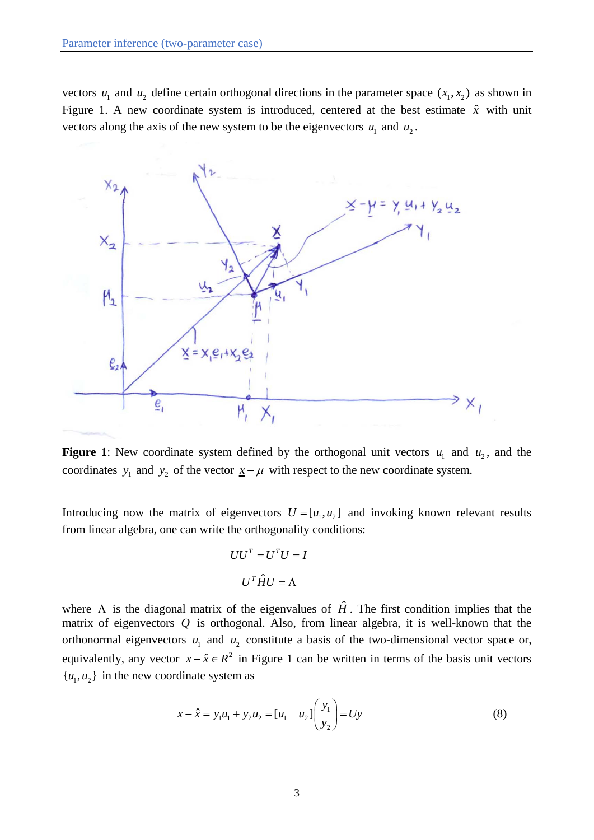vectors  $u_1$  and  $u_2$  define certain orthogonal directions in the parameter space  $(x_1, x_2)$  as shown in Figure 1. A new coordinate system is introduced, centered at the best estimate  $\hat{x}$  with unit vectors along the axis of the new system to be the eigenvectors  $u_1$  and  $u_2$ .



**Figure 1**: New coordinate system defined by the orthogonal unit vectors  $u_1$  and  $u_2$ , and the coordinates  $y_1$  and  $y_2$  of the vector  $x - \mu$  with respect to the new coordinate system.

Introducing now the matrix of eigenvectors  $U = [\underline{u}_1, \underline{u}_2]$  and invoking known relevant results from linear algebra, one can write the orthogonality conditions:

$$
UU^{T} = U^{T}U = I
$$

$$
U^{T}\hat{H}U = \Lambda
$$

where  $\Lambda$  is the diagonal matrix of the eigenvalues of  $\hat{H}$ . The first condition implies that the matrix of eigenvectors *Q* is orthogonal. Also, from linear algebra, it is well-known that the orthonormal eigenvectors  $u_1$  and  $u_2$  constitute a basis of the two-dimensional vector space or, equivalently, any vector  $x - \hat{x} \in R^2$  in Figure 1 can be written in terms of the basis unit vectors  $\{\underline{u}_1, \underline{u}_2\}$  in the new coordinate system as

$$
\underline{x} - \hat{\underline{x}} = y_1 \underline{u}_1 + y_2 \underline{u}_2 = [\underline{u}_1 \quad \underline{u}_2] \begin{pmatrix} y_1 \\ y_2 \end{pmatrix} = U \underline{y} \tag{8}
$$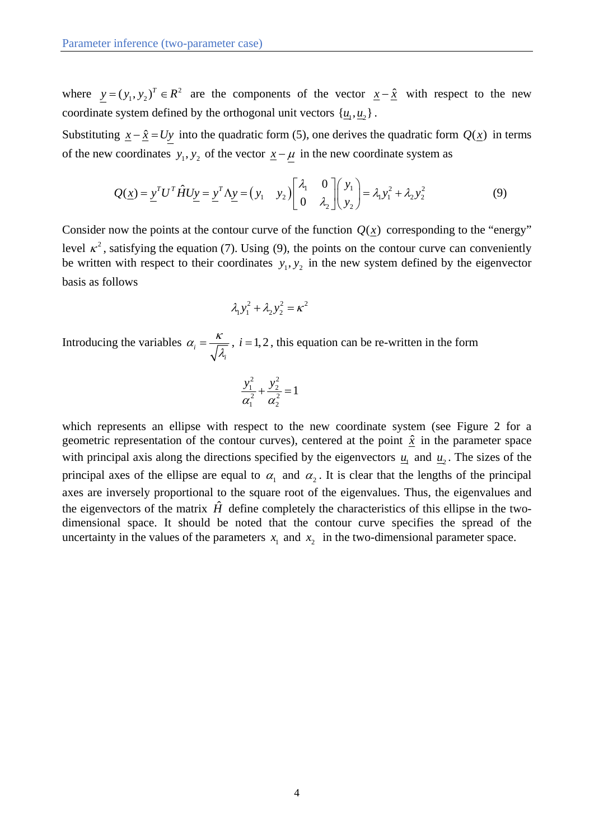where  $y = (y_1, y_2)^T \in R^2$  are the components of the vector  $x - \hat{x}$  with respect to the new coordinate system defined by the orthogonal unit vectors  $\{ \underline{u}_1, \underline{u}_2 \}$ .

Substituting  $x - \hat{x} = Uy$  into the quadratic form (5), one derives the quadratic form  $Q(x)$  in terms of the new coordinates  $y_1, y_2$  of the vector  $\underline{x} - \underline{\mu}$  in the new coordinate system as

$$
Q(\underline{x}) = \underline{y}^T U^T \hat{H} U \underline{y} = \underline{y}^T \Lambda \underline{y} = (y_1 \quad y_2) \begin{bmatrix} \lambda_1 & 0 \\ 0 & \lambda_2 \end{bmatrix} \begin{bmatrix} y_1 \\ y_2 \end{bmatrix} = \lambda_1 y_1^2 + \lambda_2 y_2^2
$$
 (9)

Consider now the points at the contour curve of the function  $Q(x)$  corresponding to the "energy" level  $\kappa^2$ , satisfying the equation (7). Using (9), the points on the contour curve can conveniently be written with respect to their coordinates  $y_1, y_2$  in the new system defined by the eigenvector basis as follows

$$
\lambda_1 y_1^2 + \lambda_2 y_2^2 = \kappa^2
$$

Introducing the variables  $\alpha_i$ *i*  $\alpha_i = \frac{\kappa}{\sqrt{\lambda}}$ ,  $i = 1, 2$ , this equation can be re-written in the form

$$
\frac{y_1^2}{\alpha_1^2} + \frac{y_2^2}{\alpha_2^2} = 1
$$

which represents an ellipse with respect to the new coordinate system (see Figure 2 for a geometric representation of the contour curves), centered at the point  $\hat{x}$  in the parameter space with principal axis along the directions specified by the eigenvectors  $u_1$  and  $u_2$ . The sizes of the principal axes of the ellipse are equal to  $\alpha_1$  and  $\alpha_2$ . It is clear that the lengths of the principal axes are inversely proportional to the square root of the eigenvalues. Thus, the eigenvalues and the eigenvectors of the matrix  $\hat{H}$  define completely the characteristics of this ellipse in the twodimensional space. It should be noted that the contour curve specifies the spread of the uncertainty in the values of the parameters  $x_1$  and  $x_2$  in the two-dimensional parameter space.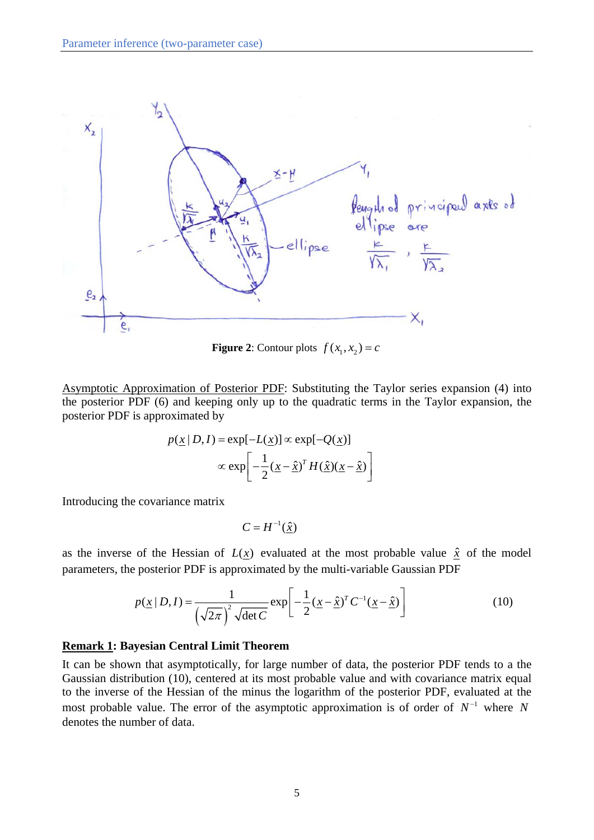

**Figure 2:** Contour plots  $f(x_1, x_2) = c$ 

Asymptotic Approximation of Posterior PDF: Substituting the Taylor series expansion (4) into the posterior PDF (6) and keeping only up to the quadratic terms in the Taylor expansion, the posterior PDF is approximated by

$$
p(\underline{x} | D, I) = \exp[-L(\underline{x})] \propto \exp[-Q(\underline{x})]
$$

$$
\propto \exp\left[-\frac{1}{2}(\underline{x} - \hat{\underline{x}})^T H(\hat{\underline{x}})(\underline{x} - \hat{\underline{x}})\right]
$$

Introducing the covariance matrix

$$
C = H^{-1}(\hat{\underline{x}})
$$

as the inverse of the Hessian of  $L(x)$  evaluated at the most probable value  $\hat{x}$  of the model parameters, the posterior PDF is approximated by the multi-variable Gaussian PDF

$$
p(\underline{x} \mid D, I) = \frac{1}{(\sqrt{2\pi})^2 \sqrt{\det C}} \exp\left[-\frac{1}{2}(\underline{x} - \hat{\underline{x}})^T C^{-1}(\underline{x} - \hat{\underline{x}})\right]
$$
(10)

#### **Remark 1: Bayesian Central Limit Theorem**

It can be shown that asymptotically, for large number of data, the posterior PDF tends to a the Gaussian distribution (10), centered at its most probable value and with covariance matrix equal to the inverse of the Hessian of the minus the logarithm of the posterior PDF, evaluated at the most probable value. The error of the asymptotic approximation is of order of  $N^{-1}$  where N denotes the number of data.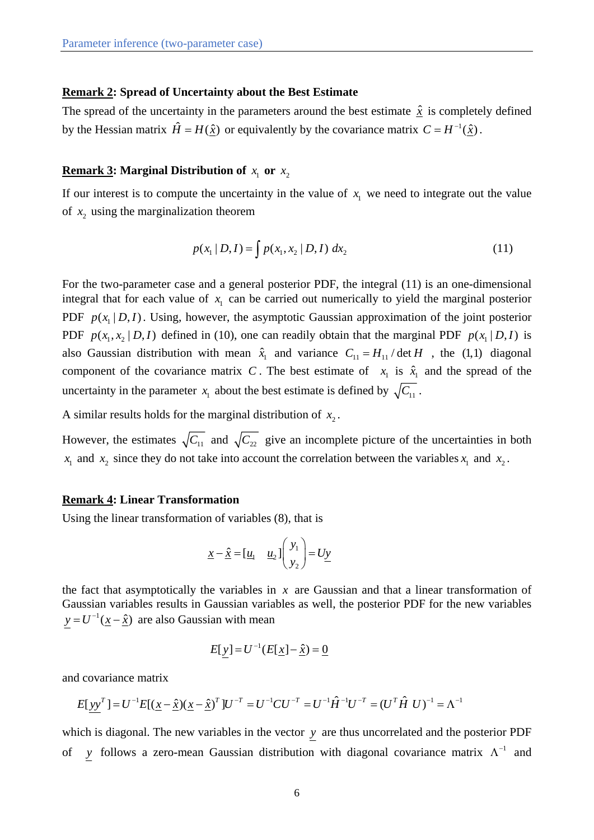### **Remark 2: Spread of Uncertainty about the Best Estimate**

The spread of the uncertainty in the parameters around the best estimate  $\hat{x}$  is completely defined by the Hessian matrix  $\hat{H} = H(\hat{x})$  or equivalently by the covariance matrix  $C = H^{-1}(\hat{x})$ .

### **Remark 3:** Marginal Distribution of  $x_1$  or  $x_2$

If our interest is to compute the uncertainty in the value of  $x<sub>1</sub>$  we need to integrate out the value of  $x_2$  using the marginalization theorem

$$
p(x_1 | D, I) = \int p(x_1, x_2 | D, I) dx_2
$$
 (11)

For the two-parameter case and a general posterior PDF, the integral (11) is an one-dimensional integral that for each value of  $x<sub>1</sub>$  can be carried out numerically to yield the marginal posterior PDF  $p(x_1 | D, I)$ . Using, however, the asymptotic Gaussian approximation of the joint posterior PDF  $p(x_1, x_2 | D, I)$  defined in (10), one can readily obtain that the marginal PDF  $p(x_1 | D, I)$  is also Gaussian distribution with mean  $\hat{x}_1$  and variance  $C_{11} = H_{11} / \det H$ , the (1,1) diagonal component of the covariance matrix *C*. The best estimate of  $x_1$  is  $\hat{x}_1$  and the spread of the uncertainty in the parameter  $x_1$  about the best estimate is defined by  $\sqrt{C_{11}}$ .

A similar results holds for the marginal distribution of  $x_2$ .

However, the estimates  $\sqrt{C_{11}}$  and  $\sqrt{C_{22}}$  give an incomplete picture of the uncertainties in both  $x_1$  and  $x_2$  since they do not take into account the correlation between the variables  $x_1$  and  $x_2$ .

#### **Remark 4: Linear Transformation**

Using the linear transformation of variables (8), that is

$$
\underline{x} - \hat{\underline{x}} = [\underline{u}_1 \quad \underline{u}_2] \begin{pmatrix} y_1 \\ y_2 \end{pmatrix} = U \underline{y}
$$

the fact that asymptotically the variables in  $x$  are Gaussian and that a linear transformation of Gaussian variables results in Gaussian variables as well, the posterior PDF for the new variables  $y = U^{-1}(\underline{x} - \hat{\underline{x}})$  are also Gaussian with mean

$$
E[y] = U^{-1}(E[\underline{x}] - \underline{\hat{x}}) = \underline{0}
$$

and covariance matrix

$$
E[\underline{y y}^T] = U^{-1} E[(\underline{x} - \hat{\underline{x}})(\underline{x} - \hat{\underline{x}})^T] U^{-T} = U^{-1} C U^{-T} = U^{-1} \hat{H}^{-1} U^{-T} = (U^T \hat{H} U)^{-1} = \Lambda^{-1}
$$

which is diagonal. The new variables in the vector *y* are thus uncorrelated and the posterior PDF of *y* follows a zero-mean Gaussian distribution with diagonal covariance matrix  $\Lambda^{-1}$  and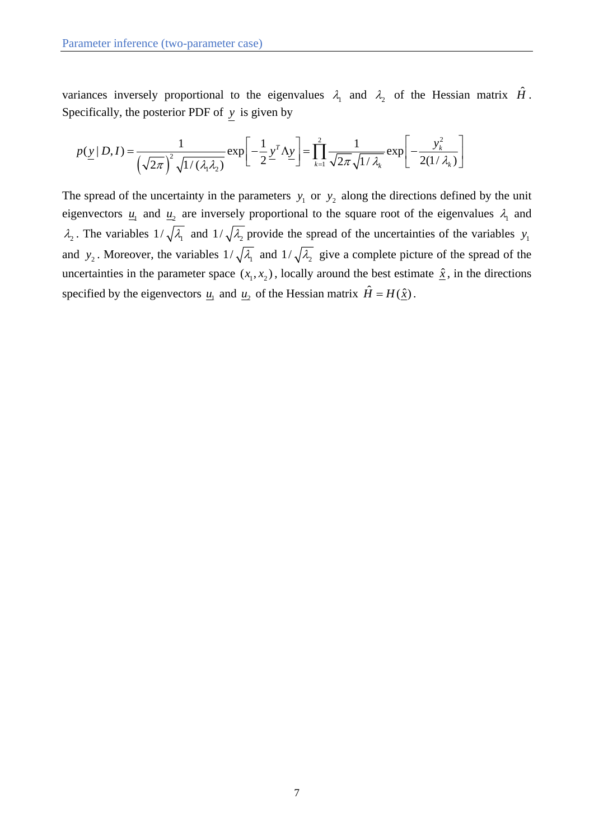variances inversely proportional to the eigenvalues  $\lambda_1$  and  $\lambda_2$  of the Hessian matrix  $\hat{H}$ . Specifically, the posterior PDF of *y* is given by

$$
p(\underline{y} \mid D, I) = \frac{1}{\left(\sqrt{2\pi}\right)^2 \sqrt{1/(\lambda_1 \lambda_2)}} \exp\left[-\frac{1}{2} \underline{y}^T \Delta \underline{y}\right] = \prod_{k=1}^2 \frac{1}{\sqrt{2\pi} \sqrt{1/\lambda_k}} \exp\left[-\frac{y_k^2}{2(1/\lambda_k)}\right]
$$

The spread of the uncertainty in the parameters  $y_1$  or  $y_2$  along the directions defined by the unit eigenvectors  $u_1$  and  $u_2$  are inversely proportional to the square root of the eigenvalues  $\lambda_1$  and  $\lambda_2$ . The variables  $1/\sqrt{\lambda_1}$  and  $1/\sqrt{\lambda_2}$  provide the spread of the uncertainties of the variables  $y_1$ and  $y_2$ . Moreover, the variables  $1/\sqrt{\lambda_1}$  and  $1/\sqrt{\lambda_2}$  give a complete picture of the spread of the uncertainties in the parameter space  $(x_1, x_2)$ , locally around the best estimate  $\hat{x}$ , in the directions specified by the eigenvectors  $\underline{u}_1$  and  $\underline{u}_2$  of the Hessian matrix  $\hat{H} = H(\hat{\underline{x}})$ .